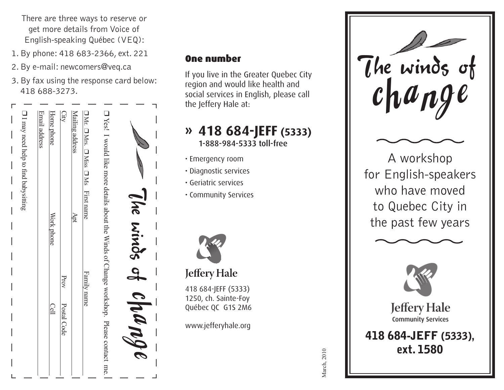There are three ways to reserve or get more details from Voice of English-speaking Québec (VEQ):

- 1. By phone: 418 683-2366, ext. 221
- 2. By e-mail: newcomers@veq.ca
- 3. By fax using the response card below: 418 688-3273.



### One number

If you live in the Greater Quebec City region and would like health and social services in English, please call the Jeffery Hale at:

### **» 418 684-JEFF (5333)** 1-888-984-5333 toll-free

- Emergency room
- Diagnostic services
- Geriatric services
- Community Services



## **Jeffery Hale**





A workshop for English-speakers who have moved to Quebec City in the past few years





**Jeffery Hale Community Services** 

**418 684-JEFF (5333), ext. 1580**

March, 2010 March, 2010